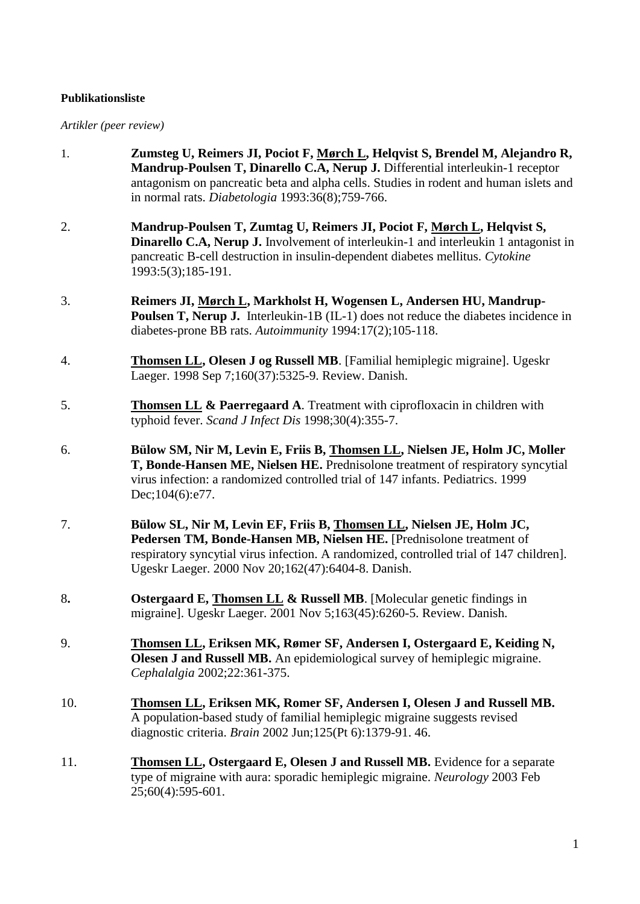#### **Publikationsliste**

## *Artikler (peer review)*

| 1.  | Zumsteg U, Reimers JI, Pociot F, Mørch L, Helqvist S, Brendel M, Alejandro R,<br>Mandrup-Poulsen T, Dinarello C.A, Nerup J. Differential interleukin-1 receptor<br>antagonism on pancreatic beta and alpha cells. Studies in rodent and human islets and<br>in normal rats. Diabetologia 1993:36(8);759-766. |
|-----|--------------------------------------------------------------------------------------------------------------------------------------------------------------------------------------------------------------------------------------------------------------------------------------------------------------|
| 2.  | Mandrup-Poulsen T, Zumtag U, Reimers JI, Pociot F, Mørch L, Helqvist S,<br><b>Dinarello C.A, Nerup J.</b> Involvement of interleukin-1 and interleukin 1 antagonist in<br>pancreatic B-cell destruction in insulin-dependent diabetes mellitus. Cytokine<br>1993:5(3);185-191.                               |
| 3.  | Reimers JI, Mørch L, Markholst H, Wogensen L, Andersen HU, Mandrup-<br><b>Poulsen T, Nerup J.</b> Interleukin-1B (IL-1) does not reduce the diabetes incidence in<br>diabetes-prone BB rats. Autoimmunity 1994:17(2);105-118.                                                                                |
| 4.  | <b>Thomsen LL, Olesen J og Russell MB.</b> [Familial hemiplegic migraine]. Ugeskr<br>Laeger. 1998 Sep 7;160(37):5325-9. Review. Danish.                                                                                                                                                                      |
| 5.  | <b>Thomsen LL &amp; Paerregaard A.</b> Treatment with ciprofloxacin in children with<br>typhoid fever. Scand J Infect Dis 1998;30(4):355-7.                                                                                                                                                                  |
| 6.  | Bülow SM, Nir M, Levin E, Friis B, Thomsen LL, Nielsen JE, Holm JC, Moller<br>T, Bonde-Hansen ME, Nielsen HE. Prednisolone treatment of respiratory syncytial<br>virus infection: a randomized controlled trial of 147 infants. Pediatrics. 1999<br>Dec; 104(6): e77.                                        |
| 7.  | Bülow SL, Nir M, Levin EF, Friis B, Thomsen LL, Nielsen JE, Holm JC,<br>Pedersen TM, Bonde-Hansen MB, Nielsen HE. [Prednisolone treatment of<br>respiratory syncytial virus infection. A randomized, controlled trial of 147 children].<br>Ugeskr Laeger. 2000 Nov 20;162(47):6404-8. Danish.                |
| 8.  | <b>Ostergaard E, Thomsen LL &amp; Russell MB.</b> [Molecular genetic findings in<br>migraine]. Ugeskr Laeger. 2001 Nov 5;163(45):6260-5. Review. Danish.                                                                                                                                                     |
| 9.  | Thomsen LL, Eriksen MK, Rømer SF, Andersen I, Ostergaard E, Keiding N,<br>Olesen J and Russell MB. An epidemiological survey of hemiplegic migraine.<br>Cephalalgia 2002;22:361-375.                                                                                                                         |
| 10. | Thomsen LL, Eriksen MK, Romer SF, Andersen I, Olesen J and Russell MB.<br>A population-based study of familial hemiplegic migraine suggests revised<br>diagnostic criteria. Brain 2002 Jun;125(Pt 6):1379-91. 46.                                                                                            |
| 11. | <b>Thomsen LL, Ostergaard E, Olesen J and Russell MB.</b> Evidence for a separate<br>type of migraine with aura: sporadic hemiplegic migraine. Neurology 2003 Feb<br>25;60(4):595-601.                                                                                                                       |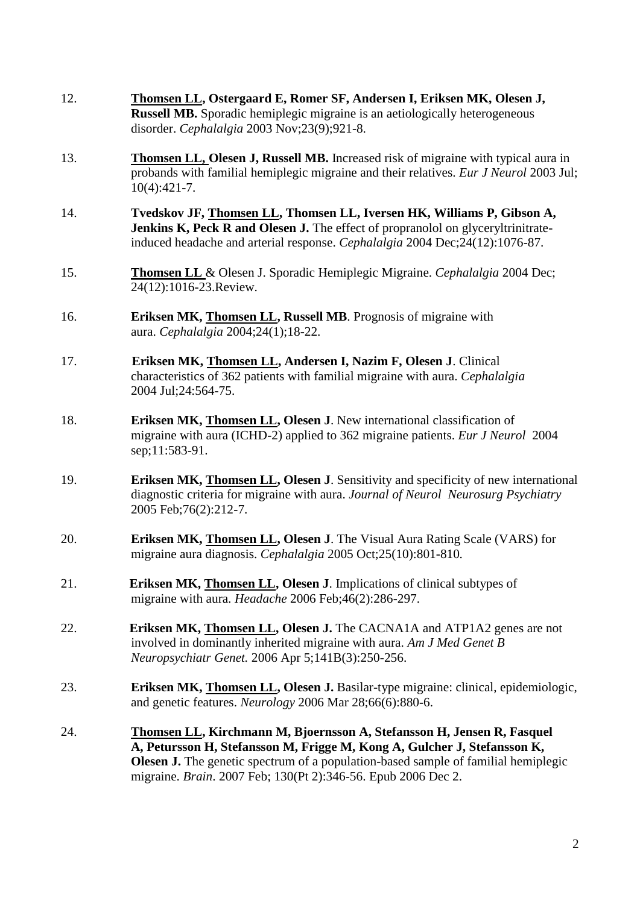12. **Thomsen LL, Ostergaard E, Romer SF, Andersen I, Eriksen MK, Olesen J, Russell MB.** Sporadic hemiplegic migraine is an aetiologically heterogeneous disorder. *Cephalalgia* 2003 Nov;23(9);921-8. 13. **Thomsen LL, Olesen J, Russell MB.** Increased risk of migraine with typical aura in probands with familial hemiplegic migraine and their relatives. *Eur J Neurol* 2003 Jul; 10(4):421-7. 14. **Tvedskov JF, Thomsen LL, Thomsen LL, Iversen HK, Williams P, Gibson A, Jenkins K, Peck R and Olesen J.** The effect of propranolol on glyceryltrinitrateinduced headache and arterial response. *Cephalalgia* 2004 Dec;24(12):1076-87. 15. **Thomsen LL** & Olesen J. Sporadic Hemiplegic Migraine. *Cephalalgia* 2004 Dec; 24(12):1016-23.Review. 16. **Eriksen MK, Thomsen LL, Russell MB**. Prognosis of migraine with aura. *Cephalalgia* 2004;24(1);18-22. 17. **Eriksen MK, Thomsen LL, Andersen I, Nazim F, Olesen J**. Clinical characteristics of 362 patients with familial migraine with aura. *Cephalalgia* 2004 Jul;24:564-75. 18. **Eriksen MK, Thomsen LL, Olesen J**. New international classification of migraine with aura (ICHD-2) applied to 362 migraine patients. *Eur J Neurol* 2004 sep;11:583-91. 19. **Eriksen MK, Thomsen LL, Olesen J**. Sensitivity and specificity of new international diagnostic criteria for migraine with aura. *Journal of Neurol Neurosurg Psychiatry*  2005 Feb;76(2):212-7. 20. **Eriksen MK, Thomsen LL, Olesen J**. The Visual Aura Rating Scale (VARS) for migraine aura diagnosis. *Cephalalgia* 2005 Oct;25(10):801-810*.* 21. **Eriksen MK, Thomsen LL, Olesen J**. Implications of clinical subtypes of migraine with aura. *Headache* 2006 Feb;46(2):286-297. 22. **Eriksen MK, Thomsen LL, Olesen J.** The CACNA1A and ATP1A2 genes are not involved in dominantly inherited migraine with aura. *Am J Med Genet B Neuropsychiatr Genet.* 2006 Apr 5;141B(3):250-256. 23. **Eriksen MK, Thomsen LL, Olesen J.** Basilar-type migraine: clinical, epidemiologic, and genetic features. *Neurology* 2006 Mar 28;66(6):880-6. 24. **Thomsen LL, Kirchmann M, Bjoernsson A, Stefansson H, Jensen R, Fasquel A, Petursson H, Stefansson M, Frigge M, Kong A, Gulcher J, Stefansson K, Olesen J.** The genetic spectrum of a population-based sample of familial hemiplegic migraine. *Brain*. 2007 Feb; 130(Pt 2):346-56. Epub 2006 Dec 2.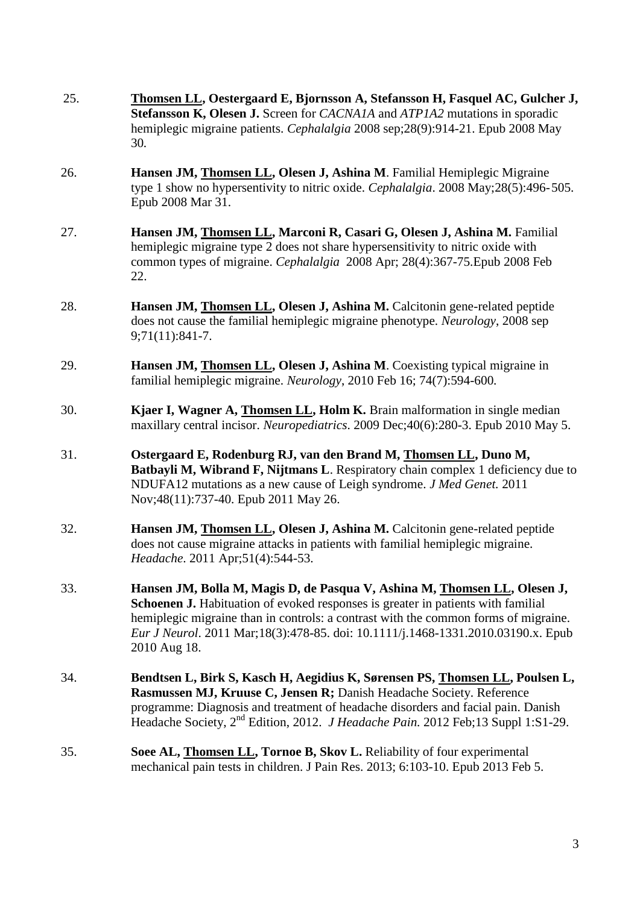- 25. **Thomsen LL, Oestergaard E, Bjornsson A, Stefansson H, Fasquel AC, Gulcher J, Stefansson K, Olesen J.** Screen for *CACNA1A* and *ATP1A2* mutations in sporadic hemiplegic migraine patients. *Cephalalgia* 2008 sep;28(9):914-21. Epub 2008 May 30*.* 26. **Hansen JM, Thomsen LL, Olesen J, Ashina M**. Familial Hemiplegic Migraine type 1 show no hypersentivity to nitric oxide. *Cephalalgia*. 2008 May;28(5):496-505. Epub 2008 Mar 31. 27. **Hansen JM, Thomsen LL, Marconi R, Casari G, Olesen J, Ashina M. Familial** hemiplegic migraine type 2 does not share hypersensitivity to nitric oxide with common types of migraine. *Cephalalgia* 2008 Apr; 28(4):367-75.Epub 2008 Feb 22. 28. **Hansen JM, Thomsen LL, Olesen J, Ashina M.** Calcitonin gene-related peptide does not cause the familial hemiplegic migraine phenotype. *Neurology*, 2008 sep 9;71(11):841-7. 29. **Hansen JM, Thomsen LL, Olesen J, Ashina M**. Coexisting typical migraine in familial hemiplegic migraine. *Neurology*, 2010 Feb 16; 74(7):594-600*.* 30. **Kjaer I, Wagner A, Thomsen LL, Holm K.** Brain malformation in single median maxillary central incisor. *Neuropediatrics*. 2009 Dec;40(6):280-3. Epub 2010 May 5. 31. **Ostergaard E, Rodenburg RJ, van den Brand M, Thomsen LL, Duno M, Batbayli M, Wibrand F, Nijtmans L.** Respiratory chain complex 1 deficiency due to NDUFA12 mutations as a new cause of Leigh syndrome. *J Med Genet.* 2011 Nov;48(11):737-40. Epub 2011 May 26. 32. **Hansen JM, Thomsen LL, Olesen J, Ashina M.** Calcitonin gene-related peptide does not cause migraine attacks in patients with familial hemiplegic migraine. *Headache*. 2011 Apr;51(4):544-53. 33. **Hansen JM, Bolla M, Magis D, de Pasqua V, Ashina M, Thomsen LL, Olesen J, Schoenen J.** Habituation of evoked responses is greater in patients with familial hemiplegic migraine than in controls: a contrast with the common forms of migraine. *Eur J Neurol*. 2011 Mar;18(3):478-85. doi: 10.1111/j.1468-1331.2010.03190.x. Epub 2010 Aug 18. 34. **Bendtsen L, Birk S, Kasch H, Aegidius K, Sørensen PS, Thomsen LL, Poulsen L, Rasmussen MJ, Kruuse C, Jensen R;** Danish Headache Society. Reference programme: Diagnosis and treatment of headache disorders and facial pain. Danish Headache Society, 2nd Edition, 2012. *J Headache Pain.* 2012 Feb;13 Suppl 1:S1-29. 35. **Soee AL, Thomsen LL, Tornoe B, Skov L.** Reliability of four experimental
	- mechanical pain tests in children. J Pain Res. 2013; 6:103-10. Epub 2013 Feb 5.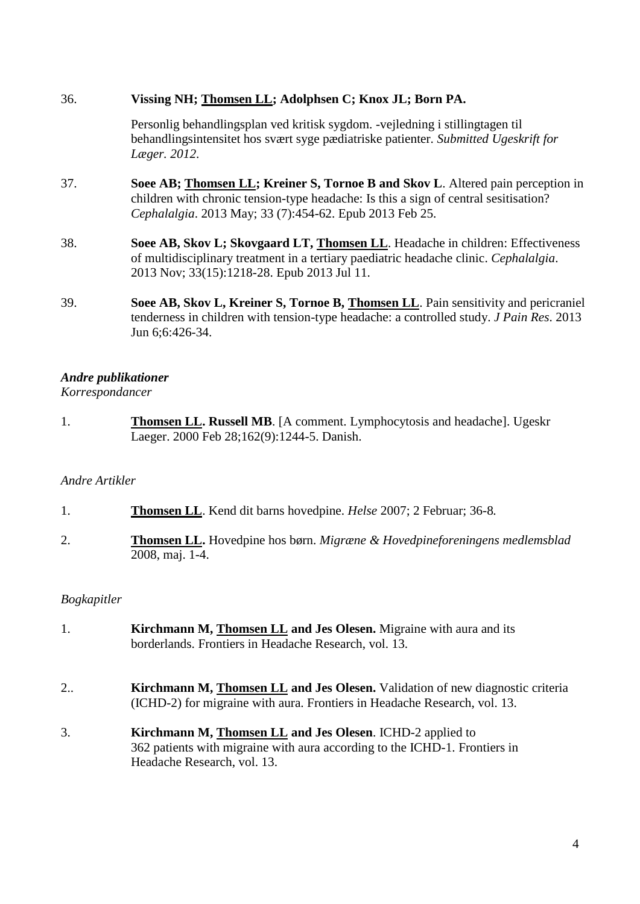### 36. **Vissing NH; Thomsen LL; Adolphsen C; Knox JL; Born PA.**

Personlig behandlingsplan ved kritisk sygdom. -vejledning i stillingtagen til behandlingsintensitet hos svært syge pædiatriske patienter. *Submitted Ugeskrift for Læger. 2012*.

- 37. **Soee AB; Thomsen LL; Kreiner S, Tornoe B and Skov L**. Altered pain perception in children with chronic tension-type headache: Is this a sign of central sesitisation? *Cephalalgia*. 2013 May; 33 (7):454-62. Epub 2013 Feb 25.
- 38. **Soee AB, Skov L; Skovgaard LT, Thomsen LL**. Headache in children: Effectiveness of multidisciplinary treatment in a tertiary paediatric headache clinic. *Cephalalgia*. 2013 Nov; 33(15):1218-28. Epub 2013 Jul 11.
- 39. **Soee AB, Skov L, Kreiner S, Tornoe B, Thomsen LL**. Pain sensitivity and pericraniel tenderness in children with tension-type headache: a controlled study. *J Pain Res*. 2013 Jun 6;6:426-34.

# *Andre publikationer*

### *Korrespondancer*

1. **Thomsen LL. Russell MB**. [\[A comment. Lymphocytosis and](http://www.ncbi.nlm.nih.gov/pubmed/10741235) headache]. Ugeskr Laeger. 2000 Feb 28;162(9):1244-5. Danish.

## *Andre Artikler*

- 1. **Thomsen LL**. Kend dit barns hovedpine. *Helse* 2007; 2 Februar; 36-8*.*
- 2. **Thomsen LL.** Hovedpine hos børn. *Migræne & Hovedpineforeningens medlemsblad* 2008, maj. 1-4.

## *Bogkapitler*

- 1. **Kirchmann M, Thomsen LL and Jes Olesen.** Migraine with aura and its borderlands. Frontiers in Headache Research, vol. 13.
- 2.. **Kirchmann M, Thomsen LL and Jes Olesen.** Validation of new diagnostic criteria (ICHD-2) for migraine with aura. Frontiers in Headache Research, vol. 13.
- 3. **Kirchmann M, Thomsen LL and Jes Olesen**. ICHD-2 applied to 362 patients with migraine with aura according to the ICHD-1. Frontiers in Headache Research, vol. 13.